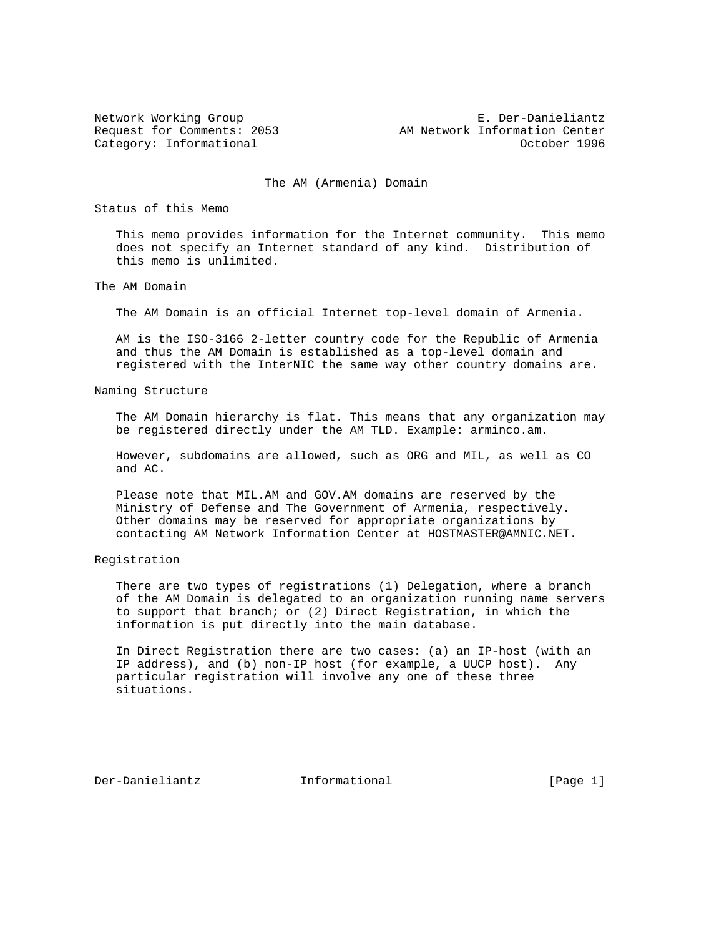Network Working Group **E. Der-Danieliantz** Request for Comments: 2053 AM Network Information Center Category: Informational and Category: Informational category: October 1996

The AM (Armenia) Domain

Status of this Memo

 This memo provides information for the Internet community. This memo does not specify an Internet standard of any kind. Distribution of this memo is unlimited.

The AM Domain

The AM Domain is an official Internet top-level domain of Armenia.

 AM is the ISO-3166 2-letter country code for the Republic of Armenia and thus the AM Domain is established as a top-level domain and registered with the InterNIC the same way other country domains are.

Naming Structure

 The AM Domain hierarchy is flat. This means that any organization may be registered directly under the AM TLD. Example: arminco.am.

 However, subdomains are allowed, such as ORG and MIL, as well as CO and AC.

 Please note that MIL.AM and GOV.AM domains are reserved by the Ministry of Defense and The Government of Armenia, respectively. Other domains may be reserved for appropriate organizations by contacting AM Network Information Center at HOSTMASTER@AMNIC.NET.

Registration

 There are two types of registrations (1) Delegation, where a branch of the AM Domain is delegated to an organization running name servers to support that branch; or (2) Direct Registration, in which the information is put directly into the main database.

 In Direct Registration there are two cases: (a) an IP-host (with an IP address), and (b) non-IP host (for example, a UUCP host). Any particular registration will involve any one of these three situations.

Der-Danieliantz Informational [Page 1]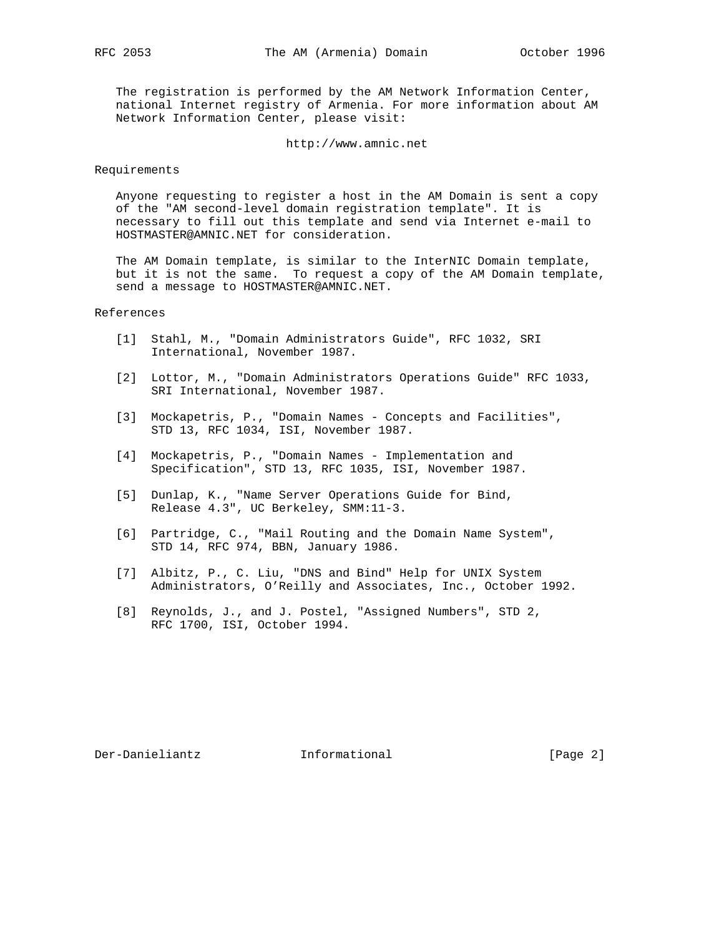The registration is performed by the AM Network Information Center, national Internet registry of Armenia. For more information about AM Network Information Center, please visit:

http://www.amnic.net

## Requirements

 Anyone requesting to register a host in the AM Domain is sent a copy of the "AM second-level domain registration template". It is necessary to fill out this template and send via Internet e-mail to HOSTMASTER@AMNIC.NET for consideration.

 The AM Domain template, is similar to the InterNIC Domain template, but it is not the same. To request a copy of the AM Domain template, send a message to HOSTMASTER@AMNIC.NET.

## References

- [1] Stahl, M., "Domain Administrators Guide", RFC 1032, SRI International, November 1987.
- [2] Lottor, M., "Domain Administrators Operations Guide" RFC 1033, SRI International, November 1987.
- [3] Mockapetris, P., "Domain Names Concepts and Facilities", STD 13, RFC 1034, ISI, November 1987.
	- [4] Mockapetris, P., "Domain Names Implementation and Specification", STD 13, RFC 1035, ISI, November 1987.
	- [5] Dunlap, K., "Name Server Operations Guide for Bind, Release 4.3", UC Berkeley, SMM:11-3.
	- [6] Partridge, C., "Mail Routing and the Domain Name System", STD 14, RFC 974, BBN, January 1986.
	- [7] Albitz, P., C. Liu, "DNS and Bind" Help for UNIX System Administrators, O'Reilly and Associates, Inc., October 1992.
	- [8] Reynolds, J., and J. Postel, "Assigned Numbers", STD 2, RFC 1700, ISI, October 1994.

Der-Danieliantz Informational [Page 2]